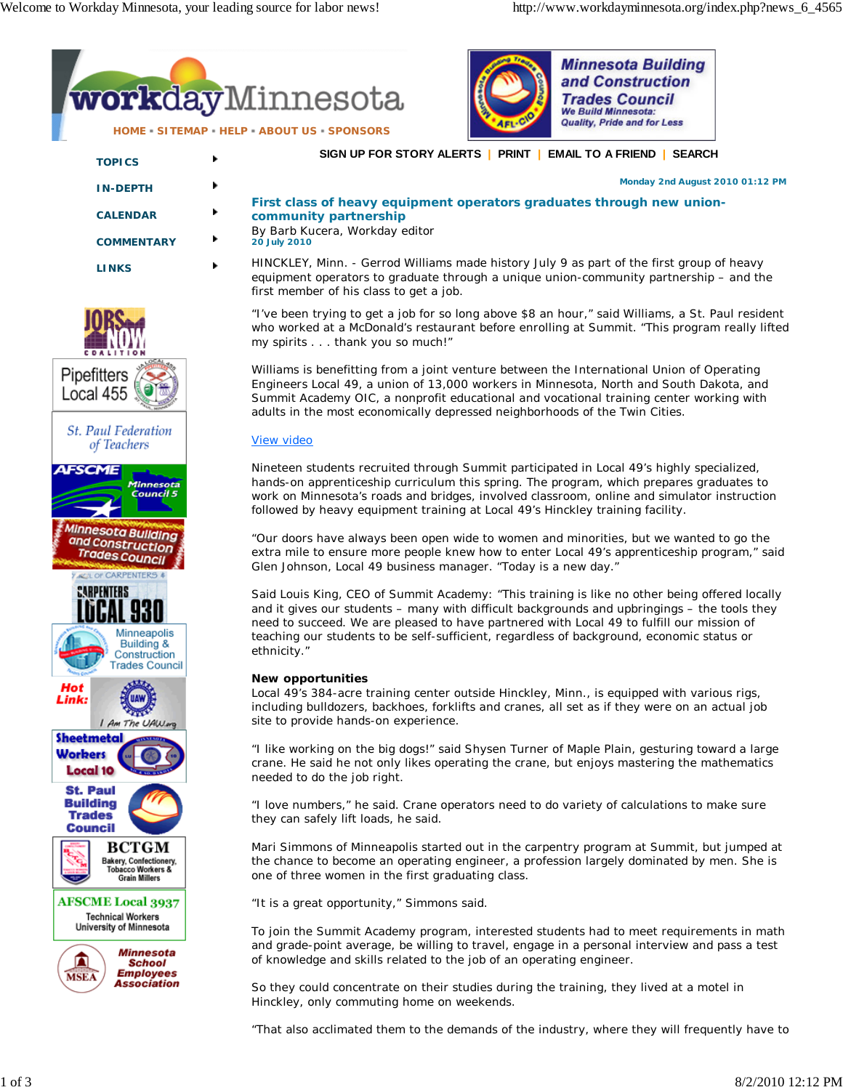

"That also acclimated them to the demands of the industry, where they will frequently have to